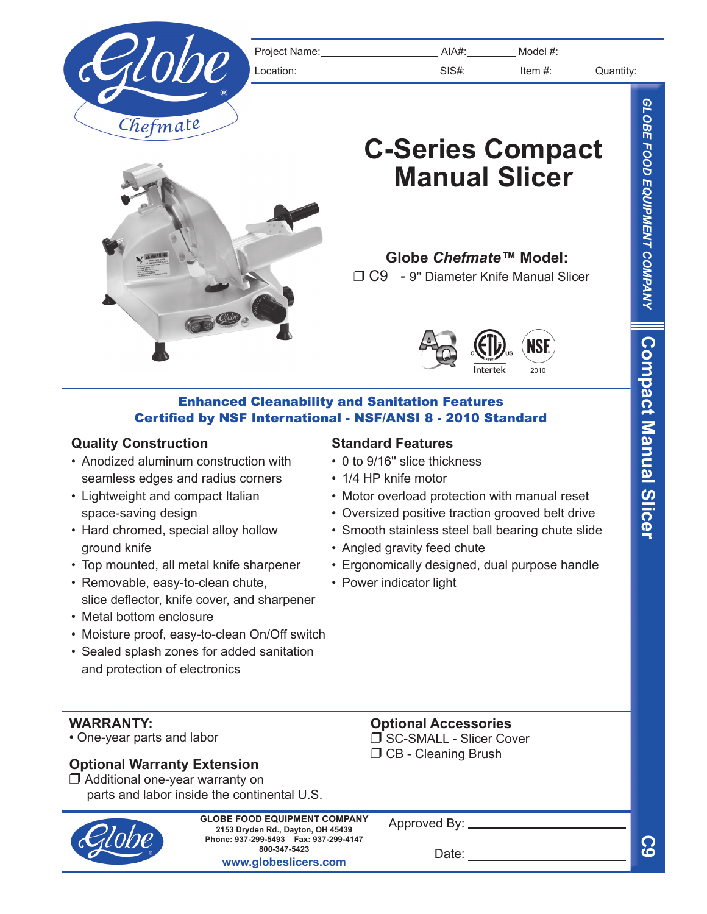

Project Name: Name: Nodel #:

Location: SIS#: Item #: Quantity:

# **C-Series Compact Manual Slicer**



r C9 - 9'' Diameter Knife Manual Slicer



### Enhanced Cleanability and Sanitation Features Certified by NSF International - NSF/ANSI 8 - 2010 Standard

#### **Quality Construction**

- Anodized aluminum construction with seamless edges and radius corners
- Lightweight and compact Italian space-saving design
- Hard chromed, special alloy hollow ground knife
- Top mounted, all metal knife sharpener
- Removable, easy-to-clean chute, slice deflector, knife cover, and sharpener
- Metal bottom enclosure
- Moisture proof, easy-to-clean On/Off switch
- Sealed splash zones for added sanitation and protection of electronics

## **Standard Features**

- 0 to 9/16'' slice thickness
- 1/4 HP knife motor
- Motor overload protection with manual reset
- Oversized positive traction grooved belt drive
- Smooth stainless steel ball bearing chute slide
- Angled gravity feed chute
- Ergonomically designed, dual purpose handle
- Power indicator light

**WARRANTY:**

• One-year parts and labor

# **Optional Warranty Extension**

 $\Box$  Additional one-year warranty on parts and labor inside the continental U.S.



**2153 Dryden Rd., Dayton, OH 45439 Phone: 937-299-5493 Fax: 937-299-4147 800-347-5423 www.globeslicers.com GLOBE FOOD EQUIPMENT COMPANY**

Approved By: \_

Date:

**Optional Accessories** □ SC-SMALL - Slicer Cover  $\Box$  CB - Cleaning Brush